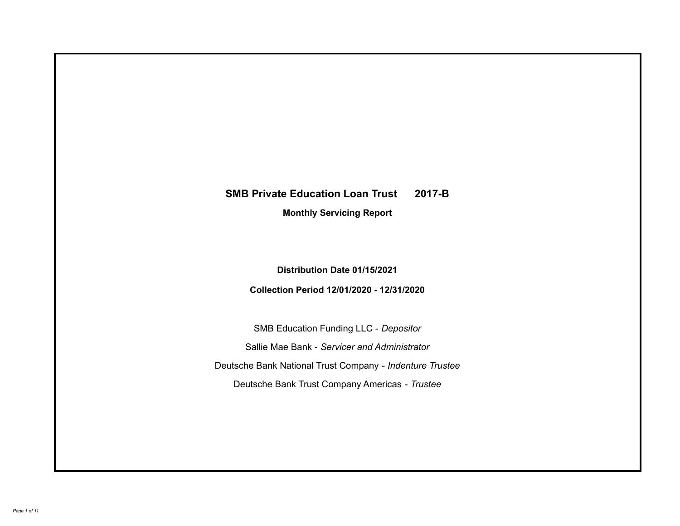# **SMB Private Education Loan Trust 2017-B Monthly Servicing Report**

**Distribution Date 01/15/2021**

**Collection Period 12/01/2020 - 12/31/2020**

SMB Education Funding LLC - *Depositor* Sallie Mae Bank - *Servicer and Administrator* Deutsche Bank National Trust Company - *Indenture Trustee* Deutsche Bank Trust Company Americas - *Trustee*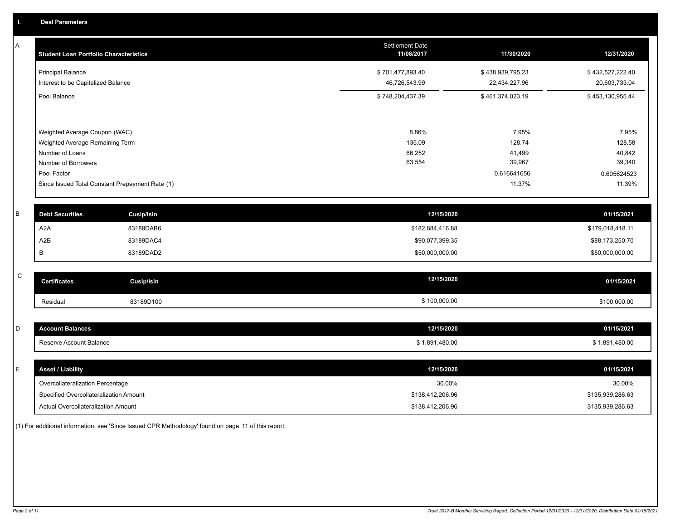| A           | <b>Student Loan Portfolio Characteristics</b>   |                   | <b>Settlement Date</b><br>11/08/2017 | 11/30/2020       | 12/31/2020       |
|-------------|-------------------------------------------------|-------------------|--------------------------------------|------------------|------------------|
|             | <b>Principal Balance</b>                        |                   | \$701,477,893.40                     | \$438,939,795.23 | \$432,527,222.40 |
|             | Interest to be Capitalized Balance              |                   | 46,726,543.99                        | 22,434,227.96    | 20,603,733.04    |
|             | Pool Balance                                    |                   | \$748,204,437.39                     | \$461,374,023.19 | \$453,130,955.44 |
|             | Weighted Average Coupon (WAC)                   |                   | 8.86%                                | 7.95%            | 7.95%            |
|             | Weighted Average Remaining Term                 |                   | 135.09                               | 128.74           | 128.58           |
|             | Number of Loans                                 |                   | 66,252                               | 41,499           | 40,842           |
|             | Number of Borrowers                             |                   | 63,554                               | 39,967           | 39,340           |
|             | Pool Factor                                     |                   |                                      | 0.616641656      | 0.605624523      |
|             | Since Issued Total Constant Prepayment Rate (1) |                   |                                      | 11.37%           | 11.39%           |
| B           | <b>Debt Securities</b>                          | <b>Cusip/Isin</b> | 12/15/2020                           |                  | 01/15/2021       |
|             | A <sub>2</sub> A                                | 83189DAB6         | \$182,884,416.88                     |                  | \$179,018,418.11 |
|             | A2B                                             | 83189DAC4         | \$90,077,399.35                      |                  | \$88,173,250.70  |
|             | В                                               | 83189DAD2         | \$50,000,000.00                      |                  | \$50,000,000.00  |
| $\mathsf C$ | <b>Certificates</b>                             | <b>Cusip/Isin</b> | 12/15/2020                           |                  | 01/15/2021       |
|             | Residual                                        | 83189D100         | \$100,000.00                         |                  | \$100,000.00     |
|             |                                                 |                   |                                      |                  |                  |
| D           | <b>Account Balances</b>                         |                   | 12/15/2020                           |                  | 01/15/2021       |
|             | Reserve Account Balance                         |                   | \$1,891,480.00                       |                  | \$1,891,480.00   |
| E           | <b>Asset / Liability</b>                        |                   | 12/15/2020                           |                  | 01/15/2021       |
|             | Overcollateralization Percentage                |                   | 30.00%                               |                  | 30.00%           |
|             | Specified Overcollateralization Amount          |                   | \$138,412,206.96                     |                  | \$135,939,286.63 |
|             | Actual Overcollateralization Amount             |                   | \$138,412,206.96                     |                  | \$135,939,286.63 |

(1) For additional information, see 'Since Issued CPR Methodology' found on page 11 of this report.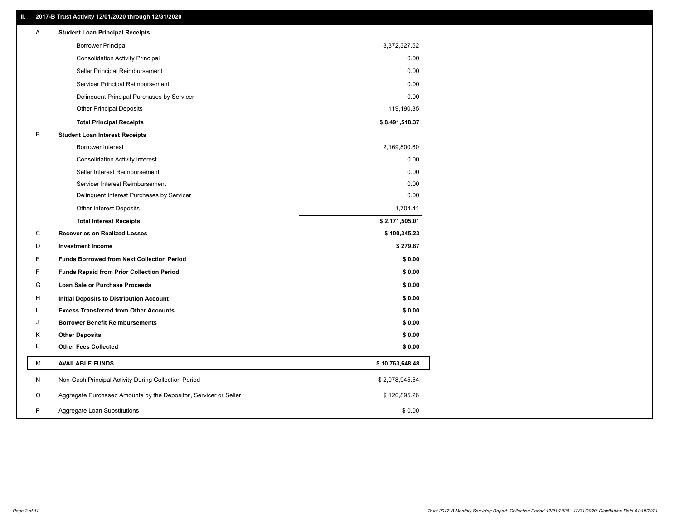# **II. 2017-B Trust Activity 12/01/2020 through 12/31/2020**

| Α | <b>Student Loan Principal Receipts</b>                           |                 |
|---|------------------------------------------------------------------|-----------------|
|   | <b>Borrower Principal</b>                                        | 8,372,327.52    |
|   | <b>Consolidation Activity Principal</b>                          | 0.00            |
|   | Seller Principal Reimbursement                                   | 0.00            |
|   | Servicer Principal Reimbursement                                 | 0.00            |
|   | Delinquent Principal Purchases by Servicer                       | 0.00            |
|   | <b>Other Principal Deposits</b>                                  | 119,190.85      |
|   | <b>Total Principal Receipts</b>                                  | \$8,491,518.37  |
| В | <b>Student Loan Interest Receipts</b>                            |                 |
|   | <b>Borrower Interest</b>                                         | 2,169,800.60    |
|   | <b>Consolidation Activity Interest</b>                           | 0.00            |
|   | Seller Interest Reimbursement                                    | 0.00            |
|   | Servicer Interest Reimbursement                                  | 0.00            |
|   | Delinquent Interest Purchases by Servicer                        | 0.00            |
|   | Other Interest Deposits                                          | 1,704.41        |
|   | <b>Total Interest Receipts</b>                                   | \$2,171,505.01  |
| C | <b>Recoveries on Realized Losses</b>                             | \$100,345.23    |
| D | <b>Investment Income</b>                                         | \$279.87        |
| Е | <b>Funds Borrowed from Next Collection Period</b>                | \$0.00          |
| F | <b>Funds Repaid from Prior Collection Period</b>                 | \$0.00          |
| G | Loan Sale or Purchase Proceeds                                   | \$0.00          |
| н | Initial Deposits to Distribution Account                         | \$0.00          |
|   | <b>Excess Transferred from Other Accounts</b>                    | \$0.00          |
| J | <b>Borrower Benefit Reimbursements</b>                           | \$0.00          |
| κ | <b>Other Deposits</b>                                            | \$0.00          |
| L | <b>Other Fees Collected</b>                                      | \$0.00          |
| М | <b>AVAILABLE FUNDS</b>                                           | \$10,763,648.48 |
| N | Non-Cash Principal Activity During Collection Period             | \$2,078,945.54  |
| O | Aggregate Purchased Amounts by the Depositor, Servicer or Seller | \$120,895.26    |
| P | Aggregate Loan Substitutions                                     | \$0.00          |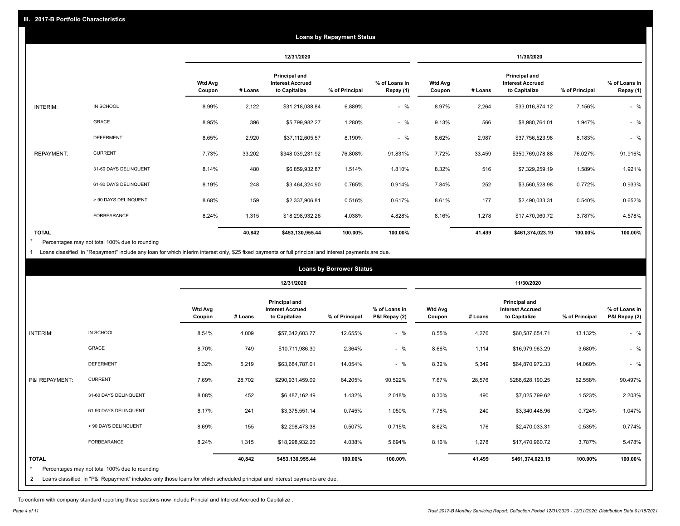|                   |                       |                          |            |                                                           | <b>Loans by Repayment Status</b> |                            |                   |         |                                                                  |                |                            |
|-------------------|-----------------------|--------------------------|------------|-----------------------------------------------------------|----------------------------------|----------------------------|-------------------|---------|------------------------------------------------------------------|----------------|----------------------------|
|                   |                       |                          | 12/31/2020 |                                                           |                                  |                            | 11/30/2020        |         |                                                                  |                |                            |
|                   |                       | <b>Wtd Avg</b><br>Coupon | # Loans    | Principal and<br><b>Interest Accrued</b><br>to Capitalize | % of Principal                   | % of Loans in<br>Repay (1) | Wtd Avg<br>Coupon | # Loans | <b>Principal and</b><br><b>Interest Accrued</b><br>to Capitalize | % of Principal | % of Loans in<br>Repay (1) |
| INTERIM:          | IN SCHOOL             | 8.99%                    | 2,122      | \$31,218,038.84                                           | 6.889%                           | $-$ %                      | 8.97%             | 2,264   | \$33,016,874.12                                                  | 7.156%         | $-$ %                      |
|                   | <b>GRACE</b>          | 8.95%                    | 396        | \$5,799,982.27                                            | 1.280%                           | $-$ %                      | 9.13%             | 566     | \$8,980,764.01                                                   | 1.947%         | $-$ %                      |
|                   | <b>DEFERMENT</b>      | 8.65%                    | 2,920      | \$37,112,605.57                                           | 8.190%                           | $-$ %                      | 8.62%             | 2,987   | \$37,756,523.98                                                  | 8.183%         | $-$ %                      |
| <b>REPAYMENT:</b> | <b>CURRENT</b>        | 7.73%                    | 33,202     | \$348,039,231.92                                          | 76.808%                          | 91.831%                    | 7.72%             | 33,459  | \$350,769,078.88                                                 | 76.027%        | 91.916%                    |
|                   | 31-60 DAYS DELINQUENT | 8.14%                    | 480        | \$6,859,932.87                                            | 1.514%                           | 1.810%                     | 8.32%             | 516     | \$7,329,259.19                                                   | 1.589%         | 1.921%                     |
|                   | 61-90 DAYS DELINQUENT | 8.19%                    | 248        | \$3,464,324.90                                            | 0.765%                           | 0.914%                     | 7.84%             | 252     | \$3,560,528.98                                                   | 0.772%         | 0.933%                     |
|                   | > 90 DAYS DELINQUENT  | 8.68%                    | 159        | \$2,337,906.81                                            | 0.516%                           | 0.617%                     | 8.61%             | 177     | \$2,490,033.31                                                   | 0.540%         | 0.652%                     |
|                   | <b>FORBEARANCE</b>    | 8.24%                    | 1,315      | \$18,298,932.26                                           | 4.038%                           | 4.828%                     | 8.16%             | 1,278   | \$17,470,960.72                                                  | 3.787%         | 4.578%                     |
| <b>TOTAL</b>      |                       |                          | 40,842     | \$453,130,955.44                                          | 100.00%                          | 100.00%                    |                   | 41,499  | \$461,374,023.19                                                 | 100.00%        | 100.00%                    |

Percentages may not total 100% due to rounding \*

1 Loans classified in "Repayment" include any loan for which interim interest only, \$25 fixed payments or full principal and interest payments are due.

|                                |                                                                                                                                                                              |                          |            |                                                                  | <b>Loans by Borrower Status</b> |                                |                          |         |                                                                  |                |                                |
|--------------------------------|------------------------------------------------------------------------------------------------------------------------------------------------------------------------------|--------------------------|------------|------------------------------------------------------------------|---------------------------------|--------------------------------|--------------------------|---------|------------------------------------------------------------------|----------------|--------------------------------|
|                                |                                                                                                                                                                              |                          | 12/31/2020 |                                                                  |                                 | 11/30/2020                     |                          |         |                                                                  |                |                                |
|                                |                                                                                                                                                                              | <b>Wtd Avg</b><br>Coupon | # Loans    | <b>Principal and</b><br><b>Interest Accrued</b><br>to Capitalize | % of Principal                  | % of Loans in<br>P&I Repay (2) | <b>Wtd Avg</b><br>Coupon | # Loans | <b>Principal and</b><br><b>Interest Accrued</b><br>to Capitalize | % of Principal | % of Loans in<br>P&I Repay (2) |
| <b>INTERIM:</b>                | IN SCHOOL                                                                                                                                                                    | 8.54%                    | 4,009      | \$57,342,603.77                                                  | 12.655%                         | $-$ %                          | 8.55%                    | 4,276   | \$60,587,654.71                                                  | 13.132%        | $-$ %                          |
|                                | GRACE                                                                                                                                                                        | 8.70%                    | 749        | \$10,711,986.30                                                  | 2.364%                          | $-$ %                          | 8.66%                    | 1,114   | \$16,979,963.29                                                  | 3.680%         | $-$ %                          |
|                                | <b>DEFERMENT</b>                                                                                                                                                             | 8.32%                    | 5,219      | \$63,684,787.01                                                  | 14.054%                         | $-$ %                          | 8.32%                    | 5,349   | \$64,870,972.33                                                  | 14.060%        | $-$ %                          |
| P&I REPAYMENT:                 | <b>CURRENT</b>                                                                                                                                                               | 7.69%                    | 28,702     | \$290,931,459.09                                                 | 64.205%                         | 90.522%                        | 7.67%                    | 28,576  | \$288,628,190.25                                                 | 62.558%        | 90.497%                        |
|                                | 31-60 DAYS DELINQUENT                                                                                                                                                        | 8.08%                    | 452        | \$6,487,162.49                                                   | 1.432%                          | 2.018%                         | 8.30%                    | 490     | \$7,025,799.62                                                   | 1.523%         | 2.203%                         |
|                                | 61-90 DAYS DELINQUENT                                                                                                                                                        | 8.17%                    | 241        | \$3,375,551.14                                                   | 0.745%                          | 1.050%                         | 7.78%                    | 240     | \$3,340,448.96                                                   | 0.724%         | 1.047%                         |
|                                | > 90 DAYS DELINQUENT                                                                                                                                                         | 8.69%                    | 155        | \$2,298,473.38                                                   | 0.507%                          | 0.715%                         | 8.62%                    | 176     | \$2,470,033.31                                                   | 0.535%         | 0.774%                         |
|                                | FORBEARANCE                                                                                                                                                                  | 8.24%                    | 1,315      | \$18,298,932.26                                                  | 4.038%                          | 5.694%                         | 8.16%                    | 1,278   | \$17,470,960.72                                                  | 3.787%         | 5.478%                         |
| <b>TOTAL</b><br>$\overline{2}$ | Percentages may not total 100% due to rounding<br>Loans classified in "P&I Repayment" includes only those loans for which scheduled principal and interest payments are due. |                          | 40,842     | \$453,130,955.44                                                 | 100.00%                         | 100.00%                        |                          | 41,499  | \$461,374,023.19                                                 | 100.00%        | 100.00%                        |

To conform with company standard reporting these sections now include Princial and Interest Accrued to Capitalize .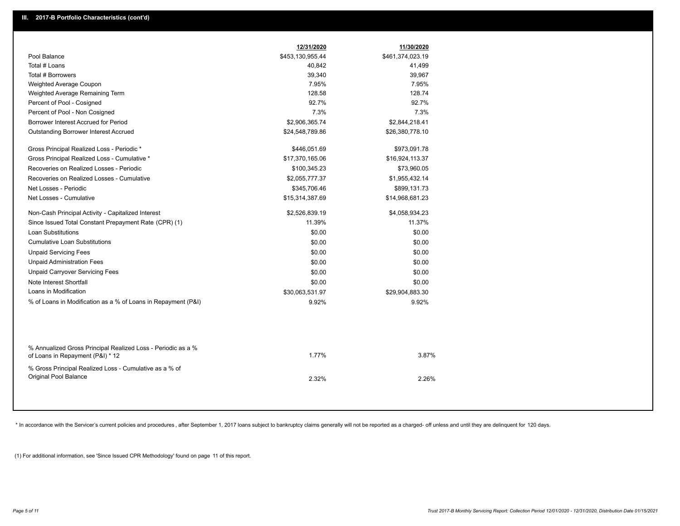|                                                                                                  | 12/31/2020       | 11/30/2020       |  |
|--------------------------------------------------------------------------------------------------|------------------|------------------|--|
| Pool Balance                                                                                     | \$453,130,955.44 | \$461,374,023.19 |  |
| Total # Loans                                                                                    | 40,842           | 41,499           |  |
| Total # Borrowers                                                                                | 39,340           | 39,967           |  |
| Weighted Average Coupon                                                                          | 7.95%            | 7.95%            |  |
| Weighted Average Remaining Term                                                                  | 128.58           | 128.74           |  |
| Percent of Pool - Cosigned                                                                       | 92.7%            | 92.7%            |  |
| Percent of Pool - Non Cosigned                                                                   | 7.3%             | 7.3%             |  |
| Borrower Interest Accrued for Period                                                             | \$2,906,365.74   | \$2,844,218.41   |  |
| Outstanding Borrower Interest Accrued                                                            | \$24,548,789.86  | \$26,380,778.10  |  |
| Gross Principal Realized Loss - Periodic *                                                       | \$446,051.69     | \$973,091.78     |  |
| Gross Principal Realized Loss - Cumulative *                                                     | \$17,370,165.06  | \$16,924,113.37  |  |
| Recoveries on Realized Losses - Periodic                                                         | \$100,345.23     | \$73,960.05      |  |
| Recoveries on Realized Losses - Cumulative                                                       | \$2,055,777.37   | \$1,955,432.14   |  |
| Net Losses - Periodic                                                                            | \$345,706.46     | \$899,131.73     |  |
| Net Losses - Cumulative                                                                          | \$15,314,387.69  | \$14,968,681.23  |  |
| Non-Cash Principal Activity - Capitalized Interest                                               | \$2,526,839.19   | \$4,058,934.23   |  |
| Since Issued Total Constant Prepayment Rate (CPR) (1)                                            | 11.39%           | 11.37%           |  |
| <b>Loan Substitutions</b>                                                                        | \$0.00           | \$0.00           |  |
| <b>Cumulative Loan Substitutions</b>                                                             | \$0.00           | \$0.00           |  |
| <b>Unpaid Servicing Fees</b>                                                                     | \$0.00           | \$0.00           |  |
| <b>Unpaid Administration Fees</b>                                                                | \$0.00           | \$0.00           |  |
| <b>Unpaid Carryover Servicing Fees</b>                                                           | \$0.00           | \$0.00           |  |
| Note Interest Shortfall                                                                          | \$0.00           | \$0.00           |  |
| Loans in Modification                                                                            | \$30,063,531.97  | \$29,904,883.30  |  |
| % of Loans in Modification as a % of Loans in Repayment (P&I)                                    | 9.92%            | 9.92%            |  |
|                                                                                                  |                  |                  |  |
| % Annualized Gross Principal Realized Loss - Periodic as a %<br>of Loans in Repayment (P&I) * 12 | 1.77%            | 3.87%            |  |
| % Gross Principal Realized Loss - Cumulative as a % of<br>Original Pool Balance                  | 2.32%            | 2.26%            |  |

\* In accordance with the Servicer's current policies and procedures, after September 1, 2017 loans subject to bankruptcy claims generally will not be reported as a charged- off unless and until they are delinquent for 120

(1) For additional information, see 'Since Issued CPR Methodology' found on page 11 of this report.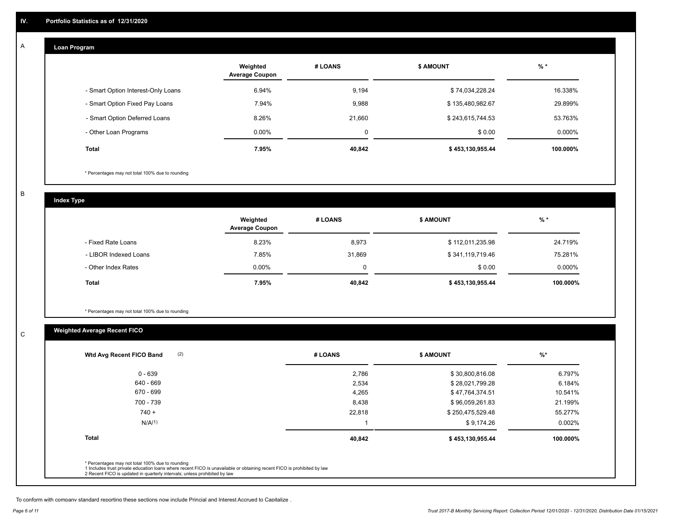#### **Loan Program**  A

|                                    | Weighted<br><b>Average Coupon</b> | # LOANS | <b>\$ AMOUNT</b> | $%$ *    |
|------------------------------------|-----------------------------------|---------|------------------|----------|
| - Smart Option Interest-Only Loans | 6.94%                             | 9,194   | \$74,034,228.24  | 16.338%  |
| - Smart Option Fixed Pay Loans     | 7.94%                             | 9,988   | \$135,480,982.67 | 29.899%  |
| - Smart Option Deferred Loans      | 8.26%                             | 21.660  | \$243,615,744.53 | 53.763%  |
| - Other Loan Programs              | $0.00\%$                          | 0       | \$0.00           | 0.000%   |
| <b>Total</b>                       | 7.95%                             | 40,842  | \$453,130,955.44 | 100.000% |

\* Percentages may not total 100% due to rounding

B

C

**Index Type**

|                       | Weighted<br><b>Average Coupon</b> | # LOANS  | \$ AMOUNT        | $%$ *    |
|-----------------------|-----------------------------------|----------|------------------|----------|
| - Fixed Rate Loans    | 8.23%                             | 8,973    | \$112,011,235.98 | 24.719%  |
| - LIBOR Indexed Loans | 7.85%                             | 31,869   | \$341,119,719.46 | 75.281%  |
| - Other Index Rates   | $0.00\%$                          | $\Omega$ | \$0.00           | 0.000%   |
| Total                 | 7.95%                             | 40,842   | \$453,130,955.44 | 100.000% |

\* Percentages may not total 100% due to rounding

# **Weighted Average Recent FICO**

| (2)<br>Wtd Avg Recent FICO Band                                                                                                                                                                                                                          | # LOANS | <b>\$ AMOUNT</b> | $%$ *    |
|----------------------------------------------------------------------------------------------------------------------------------------------------------------------------------------------------------------------------------------------------------|---------|------------------|----------|
| $0 - 639$                                                                                                                                                                                                                                                | 2,786   | \$30,800,816.08  | 6.797%   |
| 640 - 669                                                                                                                                                                                                                                                | 2,534   | \$28,021,799.28  | 6.184%   |
| 670 - 699                                                                                                                                                                                                                                                | 4,265   | \$47,764,374.51  | 10.541%  |
| 700 - 739                                                                                                                                                                                                                                                | 8,438   | \$96,059,261.83  | 21.199%  |
| $740 +$                                                                                                                                                                                                                                                  | 22,818  | \$250,475,529.48 | 55.277%  |
| N/A <sup>(1)</sup>                                                                                                                                                                                                                                       |         | \$9,174.26       | 0.002%   |
| <b>Total</b>                                                                                                                                                                                                                                             | 40,842  | \$453,130,955.44 | 100.000% |
|                                                                                                                                                                                                                                                          |         |                  |          |
| * Percentages may not total 100% due to rounding<br>1 Includes trust private education loans where recent FICO is unavailable or obtaining recent FICO is prohibited by law<br>2 Recent FICO is updated in quarterly intervals; unless prohibited by law |         |                  |          |

To conform with company standard reporting these sections now include Princial and Interest Accrued to Capitalize .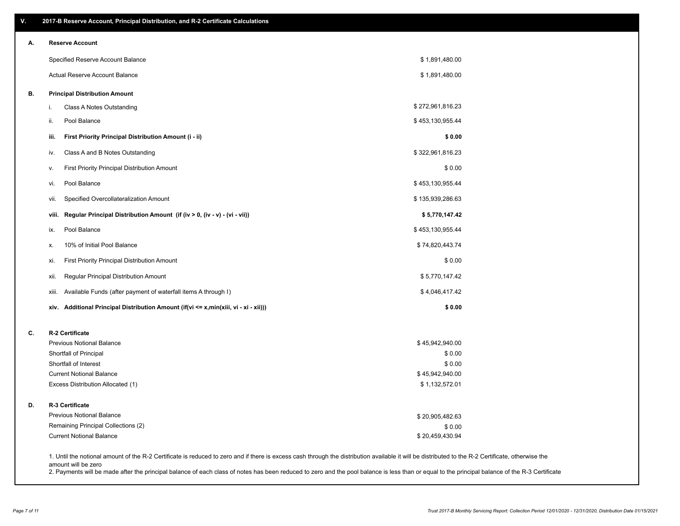| А. | <b>Reserve Account</b>                                                               |                           |  |
|----|--------------------------------------------------------------------------------------|---------------------------|--|
|    | Specified Reserve Account Balance                                                    | \$1,891,480.00            |  |
|    | Actual Reserve Account Balance                                                       | \$1,891,480.00            |  |
| В. | <b>Principal Distribution Amount</b>                                                 |                           |  |
|    | Class A Notes Outstanding<br>i.                                                      | \$272,961,816.23          |  |
|    | Pool Balance<br>ii.                                                                  | \$453,130,955.44          |  |
|    | First Priority Principal Distribution Amount (i - ii)<br>iii.                        | \$0.00                    |  |
|    | Class A and B Notes Outstanding<br>iv.                                               | \$322,961,816.23          |  |
|    | <b>First Priority Principal Distribution Amount</b><br>v.                            | \$0.00                    |  |
|    | Pool Balance<br>vi.                                                                  | \$453,130,955.44          |  |
|    | Specified Overcollateralization Amount<br>VII.                                       | \$135,939,286.63          |  |
|    | Regular Principal Distribution Amount (if (iv > 0, (iv - v) - (vi - vii))<br>viii.   | \$5,770,147.42            |  |
|    | Pool Balance<br>ix.                                                                  | \$453,130,955.44          |  |
|    | 10% of Initial Pool Balance<br>х.                                                    | \$74,820,443.74           |  |
|    | First Priority Principal Distribution Amount<br>xi.                                  | \$0.00                    |  |
|    | Regular Principal Distribution Amount<br>xii.                                        | \$5,770,147.42            |  |
|    | Available Funds (after payment of waterfall items A through I)<br>xiii.              | \$4,046,417.42            |  |
|    | xiv. Additional Principal Distribution Amount (if(vi <= x,min(xiii, vi - xi - xii))) | \$0.00                    |  |
| C. | R-2 Certificate                                                                      |                           |  |
|    | <b>Previous Notional Balance</b>                                                     | \$45,942,940.00           |  |
|    | Shortfall of Principal                                                               | \$0.00                    |  |
|    | Shortfall of Interest<br><b>Current Notional Balance</b>                             | \$0.00<br>\$45,942,940.00 |  |
|    | Excess Distribution Allocated (1)                                                    | \$1,132,572.01            |  |
| D. | R-3 Certificate                                                                      |                           |  |
|    | <b>Previous Notional Balance</b>                                                     | \$20,905,482.63           |  |
|    | Remaining Principal Collections (2)                                                  | \$0.00                    |  |
|    | <b>Current Notional Balance</b>                                                      | \$20,459,430.94           |  |

amount will be zero

2. Payments will be made after the principal balance of each class of notes has been reduced to zero and the pool balance is less than or equal to the principal balance of the R-3 Certificate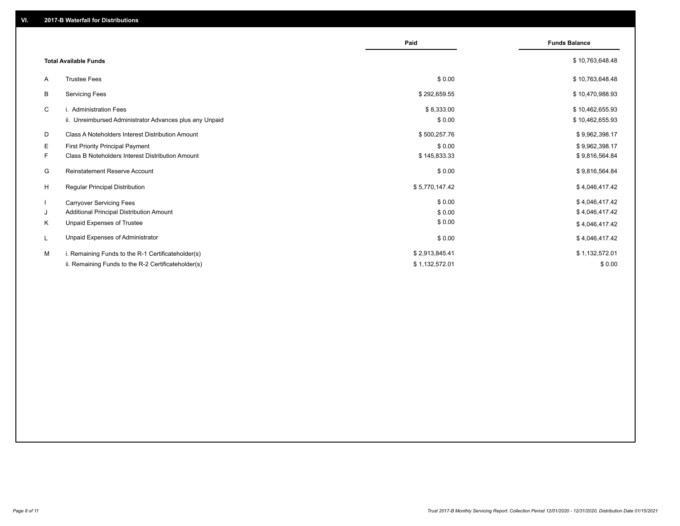|    |                                                         | Paid           | <b>Funds Balance</b> |
|----|---------------------------------------------------------|----------------|----------------------|
|    | <b>Total Available Funds</b>                            |                | \$10,763,648.48      |
| A  | <b>Trustee Fees</b>                                     | \$0.00         | \$10,763,648.48      |
| В  | <b>Servicing Fees</b>                                   | \$292,659.55   | \$10,470,988.93      |
| C  | i. Administration Fees                                  | \$8,333.00     | \$10,462,655.93      |
|    | ii. Unreimbursed Administrator Advances plus any Unpaid | \$0.00         | \$10,462,655.93      |
| D  | Class A Noteholders Interest Distribution Amount        | \$500,257.76   | \$9,962,398.17       |
| Е  | First Priority Principal Payment                        | \$0.00         | \$9,962,398.17       |
| F. | <b>Class B Noteholders Interest Distribution Amount</b> | \$145,833.33   | \$9,816,564.84       |
| G  | <b>Reinstatement Reserve Account</b>                    | \$0.00         | \$9,816,564.84       |
| H  | Regular Principal Distribution                          | \$5,770,147.42 | \$4,046,417.42       |
|    | <b>Carryover Servicing Fees</b>                         | \$0.00         | \$4,046,417.42       |
| J  | Additional Principal Distribution Amount                | \$0.00         | \$4,046,417.42       |
| Κ  | Unpaid Expenses of Trustee                              | \$0.00         | \$4,046,417.42       |
|    | Unpaid Expenses of Administrator                        | \$0.00         | \$4,046,417.42       |
| м  | i. Remaining Funds to the R-1 Certificateholder(s)      | \$2,913,845.41 | \$1,132,572.01       |
|    | ii. Remaining Funds to the R-2 Certificateholder(s)     | \$1,132,572.01 | \$0.00               |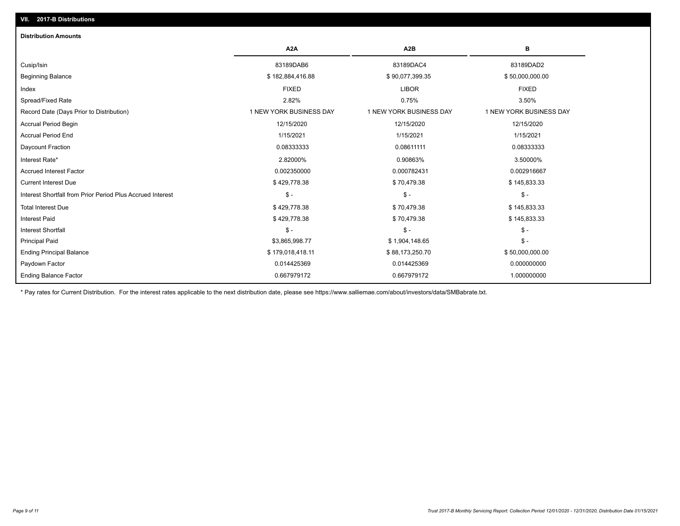| <b>Distribution Amounts</b>                                |                         |                         |                         |
|------------------------------------------------------------|-------------------------|-------------------------|-------------------------|
|                                                            | A <sub>2</sub> A        | A <sub>2</sub> B        | в                       |
| Cusip/Isin                                                 | 83189DAB6               | 83189DAC4               | 83189DAD2               |
| <b>Beginning Balance</b>                                   | \$182,884,416.88        | \$90,077,399.35         | \$50,000,000.00         |
| Index                                                      | <b>FIXED</b>            | <b>LIBOR</b>            | <b>FIXED</b>            |
| Spread/Fixed Rate                                          | 2.82%                   | 0.75%                   | 3.50%                   |
| Record Date (Days Prior to Distribution)                   | 1 NEW YORK BUSINESS DAY | 1 NEW YORK BUSINESS DAY | 1 NEW YORK BUSINESS DAY |
| Accrual Period Begin                                       | 12/15/2020              | 12/15/2020              | 12/15/2020              |
| <b>Accrual Period End</b>                                  | 1/15/2021               | 1/15/2021               | 1/15/2021               |
| Daycount Fraction                                          | 0.08333333              | 0.08611111              | 0.08333333              |
| Interest Rate*                                             | 2.82000%                | 0.90863%                | 3.50000%                |
| <b>Accrued Interest Factor</b>                             | 0.002350000             | 0.000782431             | 0.002916667             |
| <b>Current Interest Due</b>                                | \$429,778.38            | \$70,479.38             | \$145,833.33            |
| Interest Shortfall from Prior Period Plus Accrued Interest | $\frac{1}{2}$           | $\mathcal{S}$ -         | $\mathcal{S}$ -         |
| <b>Total Interest Due</b>                                  | \$429,778.38            | \$70,479.38             | \$145,833.33            |
| <b>Interest Paid</b>                                       | \$429,778.38            | \$70,479.38             | \$145,833.33            |
| <b>Interest Shortfall</b>                                  | $\mathsf{\$}$ -         | $\mathsf{\$}$ -         | $\frac{1}{2}$           |
| <b>Principal Paid</b>                                      | \$3,865,998.77          | \$1,904,148.65          | $\mathcal{S}$ -         |
| <b>Ending Principal Balance</b>                            | \$179,018,418.11        | \$88,173,250.70         | \$50,000,000.00         |
| Paydown Factor                                             | 0.014425369             | 0.014425369             | 0.000000000             |
| <b>Ending Balance Factor</b>                               | 0.667979172             | 0.667979172             | 1.000000000             |

\* Pay rates for Current Distribution. For the interest rates applicable to the next distribution date, please see https://www.salliemae.com/about/investors/data/SMBabrate.txt.

**VII. 2017-B Distributions**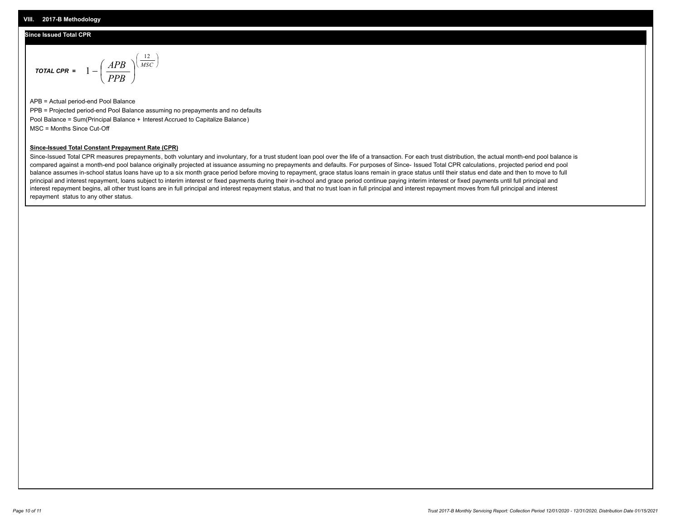## **Since Issued Total CPR**

$$
\text{total CPR} = 1 - \left(\frac{APB}{PPB}\right)^{\left(\frac{12}{MSC}\right)}
$$

APB = Actual period-end Pool Balance PPB = Projected period-end Pool Balance assuming no prepayments and no defaults Pool Balance = Sum(Principal Balance + Interest Accrued to Capitalize Balance) MSC = Months Since Cut-Off

### **Since-Issued Total Constant Prepayment Rate (CPR)**

Since-Issued Total CPR measures prepayments, both voluntary and involuntary, for a trust student loan pool over the life of a transaction. For each trust distribution, the actual month-end pool balance is compared against a month-end pool balance originally projected at issuance assuming no prepayments and defaults. For purposes of Since- Issued Total CPR calculations, projected period end pool balance assumes in-school status loans have up to a six month grace period before moving to repayment, grace status loans remain in grace status until their status end date and then to move to full principal and interest repayment, loans subject to interim interest or fixed payments during their in-school and grace period continue paying interim interest or fixed payments until full principal and interest repayment begins, all other trust loans are in full principal and interest repayment status, and that no trust loan in full principal and interest repayment moves from full principal and interest repayment status to any other status.